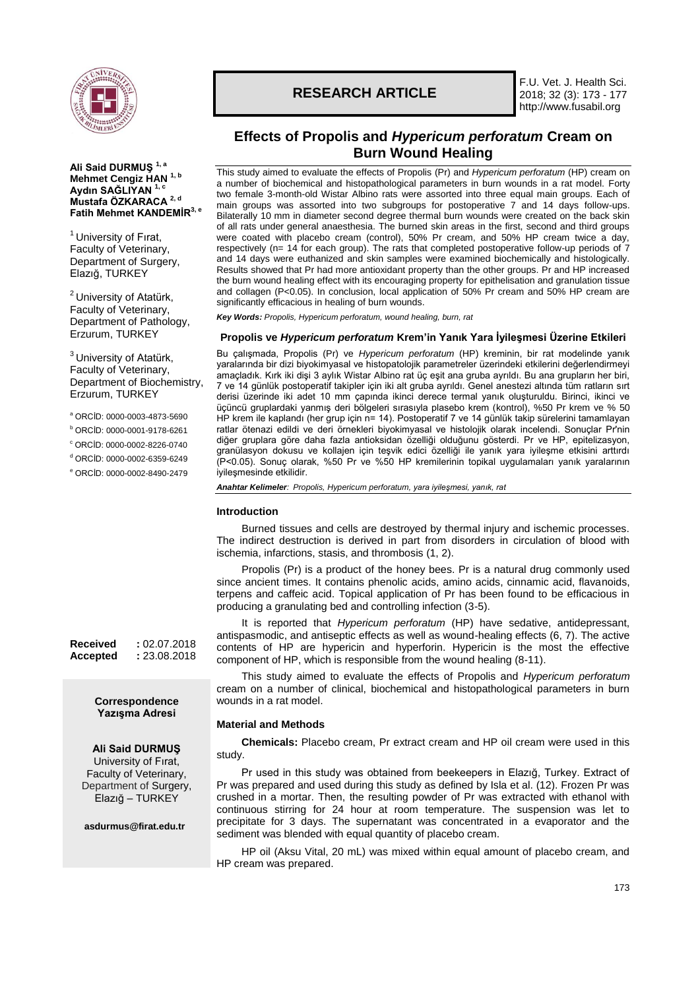

**Ali Said DURMUŞ 1, a Mehmet Cengiz HAN 1, b Aydın SAĞLIYAN 1, c Mustafa ÖZKARACA 2, d Fatih Mehmet KANDEMİR3, e**

 $<sup>1</sup>$  University of Firat,</sup> Faculty of Veterinary, Department of Surgery, Elazığ, TURKEY

<sup>2</sup> University of Atatürk, Faculty of Veterinary, Department of Pathology, Erzurum, TURKEY

 $3$  University of Atatürk, Faculty of Veterinary, Department of Biochemistry,

<sup>a</sup> ORCİD: 0000-0003-4873-5690 <sup>b</sup> ORCİD: 0000-0001-9178-6261 <sup>c</sup> ORCİD: 0000-0002-8226-0740  $<sup>d</sup>$  ORCID: 0000-0002-6359-6249</sup> <sup>e</sup> ORCİD: 0000-0002-8490-2479

Erzurum, TURKEY

# **RESEARCH ARTICLE**

F.U. Vet. J. Health Sci. 2018; 32 (3): 173 - 177 http://www.fusabil.org

## **Effects of Propolis and** *Hypericum perforatum* **Cream on Burn Wound Healing**

This study aimed to evaluate the effects of Propolis (Pr) and *Hypericum perforatum* (HP) cream on a number of biochemical and histopathological parameters in burn wounds in a rat model. Forty two female 3-month-old Wistar Albino rats were assorted into three equal main groups. Each of main groups was assorted into two subgroups for postoperative  $7$  and 14 days follow-ups. Bilaterally 10 mm in diameter second degree thermal burn wounds were created on the back skin of all rats under general anaesthesia. The burned skin areas in the first, second and third groups were coated with placebo cream (control), 50% Pr cream, and 50% HP cream twice a day, respectively (n= 14 for each group). The rats that completed postoperative follow-up periods of 7 and 14 days were euthanized and skin samples were examined biochemically and histologically. Results showed that Pr had more antioxidant property than the other groups. Pr and HP increased the burn wound healing effect with its encouraging property for epithelisation and granulation tissue and collagen (P<0.05). In conclusion, local application of 50% Pr cream and 50% HP cream are significantly efficacious in healing of burn wounds.

*Key Words: Propolis, Hypericum perforatum, wound healing, burn, rat*

## **Propolis ve** *Hypericum perforatum* **Krem'in Yanık Yara İyileşmesi Üzerine Etkileri**

Bu çalışmada, Propolis (Pr) ve *Hypericum perforatum* (HP) kreminin, bir rat modelinde yanık yaralarında bir dizi biyokimyasal ve histopatolojik parametreler üzerindeki etkilerini değerlendirmeyi amaçladık. Kırk iki dişi 3 aylık Wistar Albino rat üç eşit ana gruba ayrıldı. Bu ana grupların her biri, 7 ve 14 günlük postoperatif takipler için iki alt gruba ayrıldı. Genel anestezi altında tüm ratların sırt derisi üzerinde iki adet 10 mm çapında ikinci derece termal yanık oluşturuldu. Birinci, ikinci ve üçüncü gruplardaki yanmış deri bölgeleri sırasıyla plasebo krem (kontrol), %50 Pr krem ve % 50 HP krem ile kaplandı (her grup için n= 14). Postoperatif 7 ve 14 günlük takip sürelerini tamamlayan ratlar ötenazi edildi ve deri örnekleri biyokimyasal ve histolojik olarak incelendi. Sonuçlar Pr'nin diğer gruplara göre daha fazla antioksidan özelliği olduğunu gösterdi. Pr ve HP, epitelizasyon, granülasyon dokusu ve kollajen için teşvik edici özelliği ile yanık yara iyileşme etkisini arttırdı (P<0.05). Sonuç olarak, %50 Pr ve %50 HP kremilerinin topikal uygulamaları yanık yaralarının iyileşmesinde etkilidir.

*Anahtar Kelimeler: Propolis, Hypericum perforatum, yara iyileşmesi, yanık, rat*

## **Introduction**

Burned tissues and cells are destroyed by thermal injury and ischemic processes. The indirect destruction is derived in part from disorders in circulation of blood with ischemia, infarctions, stasis, and thrombosis (1, 2).

Propolis (Pr) is a product of the honey bees. Pr is a natural drug commonly used since ancient times. It contains phenolic acids, amino acids, cinnamic acid, flavanoids, terpens and caffeic acid. Topical application of Pr has been found to be efficacious in producing a granulating bed and controlling infection (3-5).

It is reported that *Hypericum perforatum* (HP) have sedative, antidepressant, antispasmodic, and antiseptic effects as well as wound-healing effects (6, 7). The active contents of HP are hypericin and hyperforin. Hypericin is the most the effective component of HP, which is responsible from the wound healing (8-11).

This study aimed to evaluate the effects of Propolis and *Hypericum perforatum* cream on a number of clinical, biochemical and histopathological parameters in burn wounds in a rat model.

## **Material and Methods**

**Chemicals:** Placebo cream, Pr extract cream and HP oil cream were used in this study.

Pr used in this study was obtained from beekeepers in Elazığ, Turkey. Extract of Pr was prepared and used during this study as defined by Isla et al. (12). Frozen Pr was crushed in a mortar. Then, the resulting powder of Pr was extracted with ethanol with continuous stirring for 24 hour at room temperature. The suspension was let to precipitate for 3 days. The supernatant was concentrated in a evaporator and the sediment was blended with equal quantity of placebo cream.

HP oil (Aksu Vital, 20 mL) was mixed within equal amount of placebo cream, and HP cream was prepared.

**Received :** 02.07.2018 **Accepted :** 23.08.2018

## **Correspondence Yazışma Adresi**

## **Ali Said DURMUŞ**

University of Fırat, Faculty of Veterinary, Department of Surgery, Elazığ – TURKEY

**[asdurmus@firat.edu.tr](mailto:ckalkan@firat.edu.tr)**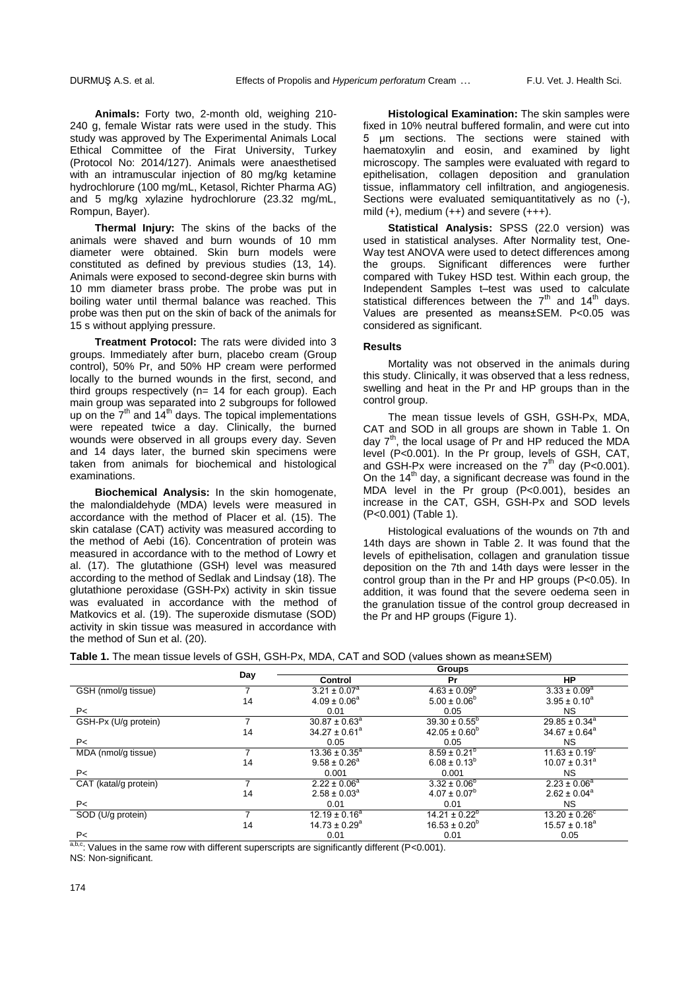**Animals:** Forty two, 2-month old, weighing 210- 240 g, female Wistar rats were used in the study. This study was approved by The Experimental Animals Local Ethical Committee of the Firat University, Turkey (Protocol No: 2014/127). Animals were anaesthetised with an intramuscular injection of 80 mg/kg ketamine hydrochlorure (100 mg/mL, Ketasol, Richter Pharma AG) and 5 mg/kg xylazine hydrochlorure (23.32 mg/mL, Rompun, Bayer).

**Thermal Injury:** The skins of the backs of the animals were shaved and burn wounds of 10 mm diameter were obtained. Skin burn models were constituted as defined by previous studies (13, 14). Animals were exposed to second-degree skin burns with 10 mm diameter brass probe. The probe was put in boiling water until thermal balance was reached. This probe was then put on the skin of back of the animals for 15 s without applying pressure.

**Treatment Protocol:** The rats were divided into 3 groups. Immediately after burn, placebo cream (Group control), 50% Pr, and 50% HP cream were performed locally to the burned wounds in the first, second, and third groups respectively (n= 14 for each group). Each main group was separated into 2 subgroups for followed up on the  $7<sup>th</sup>$  and  $14<sup>th</sup>$  days. The topical implementations were repeated twice a day. Clinically, the burned wounds were observed in all groups every day. Seven and 14 days later, the burned skin specimens were taken from animals for biochemical and histological examinations.

**Biochemical Analysis:** In the skin homogenate, the malondialdehyde (MDA) levels were measured in accordance with the method of Placer et al. (15). The skin catalase (CAT) activity was measured according to the method of Aebi (16). Concentration of protein was measured in accordance with to the method of Lowry et al. (17). The glutathione (GSH) level was measured according to the method of Sedlak and Lindsay (18). The glutathione peroxidase (GSH-Px) activity in skin tissue was evaluated in accordance with the method of Matkovics et al. (19). The superoxide dismutase (SOD) activity in skin tissue was measured in accordance with the method of Sun et al. (20).

**Histological Examination:** The skin samples were fixed in 10% neutral buffered formalin, and were cut into 5 μm sections. The sections were stained with haematoxylin and eosin, and examined by light microscopy. The samples were evaluated with regard to epithelisation, collagen deposition and granulation tissue, inflammatory cell infiltration, and angiogenesis. Sections were evaluated semiquantitatively as no (-), mild  $(+)$ , medium  $(++)$  and severe  $(+++)$ .

**Statistical Analysis:** SPSS (22.0 version) was used in statistical analyses. After Normality test, One-Way test ANOVA were used to detect differences among the groups. Significant differences were further compared with Tukey HSD test. Within each group, the Independent Samples t–test was used to calculate statistical differences between the  $7<sup>th</sup>$  and  $14<sup>th</sup>$  days. Values are presented as means±SEM. P<0.05 was considered as significant.

## **Results**

Mortality was not observed in the animals during this study. Clinically, it was observed that a less redness, swelling and heat in the Pr and HP groups than in the control group.

The mean tissue levels of GSH, GSH-Px, MDA, CAT and SOD in all groups are shown in Table 1. On day  $7<sup>th</sup>$ , the local usage of Pr and HP reduced the MDA level (P<0.001). In the Pr group, levels of GSH, CAT, and GSH-Px were increased on the  $7<sup>th</sup>$  day (P<0.001). On the  $14<sup>th</sup>$  day, a significant decrease was found in the MDA level in the Pr group (P<0.001), besides an increase in the CAT, GSH, GSH-Px and SOD levels (P<0.001) (Table 1).

Histological evaluations of the wounds on 7th and 14th days are shown in Table 2. It was found that the levels of epithelisation, collagen and granulation tissue deposition on the 7th and 14th days were lesser in the control group than in the Pr and HP groups (P<0.05). In addition, it was found that the severe oedema seen in the granulation tissue of the control group decreased in the Pr and HP groups (Figure 1).

|                       | Day | <b>Groups</b>      |                          |                          |
|-----------------------|-----|--------------------|--------------------------|--------------------------|
|                       |     | <b>Control</b>     | Pr                       | <b>HP</b>                |
| GSH (nmol/g tissue)   |     | $3.21 \pm 0.07^a$  | $4.63 \pm 0.09^b$        | $3.33 \pm 0.09^a$        |
|                       | 14  | $4.09 \pm 0.06^a$  | $5.00 \pm 0.06^b$        | $3.95 \pm 0.10^a$        |
| P<                    |     | 0.01               | 0.05                     | NS.                      |
| GSH-Px (U/g protein)  |     | $30.87 \pm 0.63^a$ | $39.30 \pm 0.55^{\circ}$ | $29.85 \pm 0.34^a$       |
|                       | 14  | $34.27 \pm 0.61^a$ | $42.05 \pm 0.60^b$       | $34.67 \pm 0.64^a$       |
| P<                    |     | 0.05               | 0.05                     | <b>NS</b>                |
| MDA (nmol/g tissue)   |     | $13.36 \pm 0.35^a$ | $8.59 \pm 0.21^{\circ}$  | $11.63 \pm 0.19^{\circ}$ |
|                       | 14  | $9.58 \pm 0.26^a$  | $6.08 \pm 0.13^{b}$      | $10.07 \pm 0.31^a$       |
| P<                    |     | 0.001              | 0.001                    | NS.                      |
| CAT (katal/g protein) |     | $2.22 \pm 0.06^a$  | $3.32 \pm 0.06^b$        | $2.23 \pm 0.06^a$        |
|                       | 14  | $2.58 \pm 0.03^a$  | $4.07 \pm 0.07^b$        | $2.62 \pm 0.04^a$        |
| P<                    |     | 0.01               | 0.01                     | <b>NS</b>                |
| SOD (U/g protein)     |     | $12.19 \pm 0.16^a$ | $14.21 \pm 0.22^b$       | $13.20 \pm 0.26^{\circ}$ |
|                       | 14  | $14.73 \pm 0.29^a$ | $16.53 \pm 0.20^{\circ}$ | $15.57 \pm 0.18^a$       |
| P<                    |     | 0.01               | 0.01                     | 0.05                     |

| <b>Table 1.</b> The mean tissue levels of GSH, GSH-Px, MDA, CAT and SOD (values shown as mean±SEM) |  |
|----------------------------------------------------------------------------------------------------|--|
|----------------------------------------------------------------------------------------------------|--|

 $a,b,c$ . Values in the same row with different superscripts are significantly different (P<0.001).

NS: Non-significant.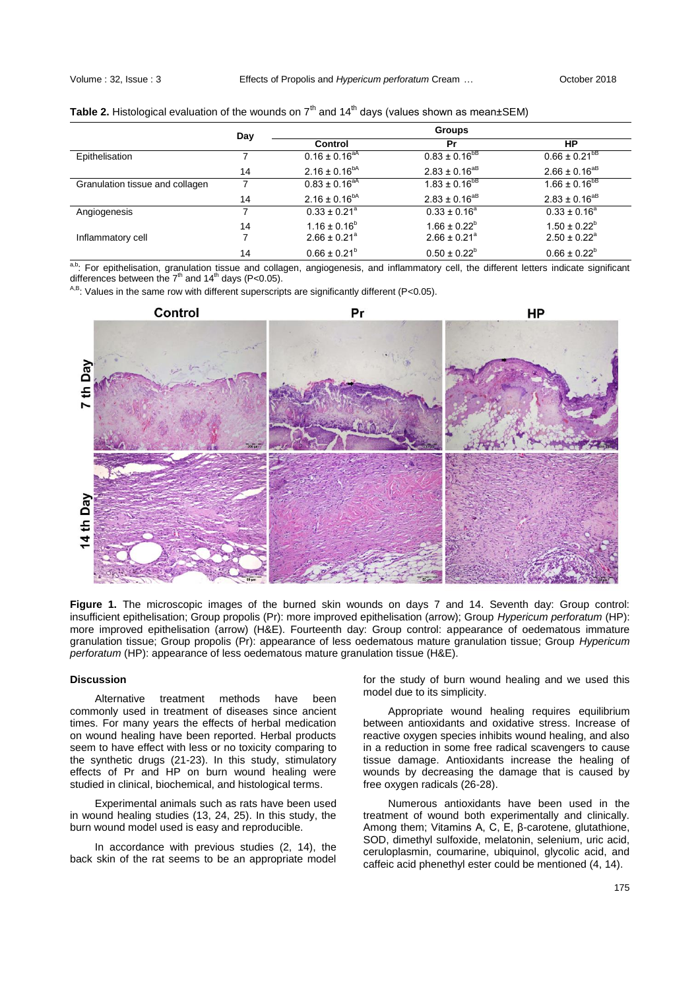|                                 | Day | <b>Groups</b>                |                              |                              |
|---------------------------------|-----|------------------------------|------------------------------|------------------------------|
|                                 |     | Control                      | Pr                           | НP                           |
| Epithelisation                  |     | $0.16 \pm 0.16^{\text{aA}}$  | $0.83 \pm 0.16^{b}$          | $0.66 \pm 0.21^{bB}$         |
|                                 | 14  | $2.16 \pm 0.16^{bA}$         | $2.83 \pm 0.16^{aB}$         | $2.66 \pm 0.16^{aB}$         |
| Granulation tissue and collagen |     | $0.83 \pm 0.16^{aA}$         | $1.83 \pm 0.16^{b}$          | $1.66 \pm 0.16^{bB}$         |
|                                 | 14  | $2.16 \pm 0.16^{bA}$         | $2.83 \pm 0.16^{aB}$         | $2.83 \pm 0.16^{aB}$         |
| Angiogenesis                    |     | $0.33 \pm 0.21$ <sup>a</sup> | $0.33 \pm 0.16^a$            | $0.33 \pm 0.16^a$            |
|                                 | 14  | $1.16 \pm 0.16^b$            | $1.66 \pm 0.22^b$            | $1.50 \pm 0.22^b$            |
| Inflammatory cell               |     | $2.66 \pm 0.21$ <sup>a</sup> | $2.66 \pm 0.21$ <sup>a</sup> | $2.50 \pm 0.22$ <sup>a</sup> |
|                                 | 14  | $0.66 \pm 0.21^b$            | $0.50 \pm 0.22^b$            | $0.66 \pm 0.22^b$            |

a,b: For epithelisation, granulation tissue and collagen, angiogenesis, and inflammatory cell, the different letters indicate significant differences between the  $7<sup>th</sup>$  and  $14<sup>th</sup>$  days (P<0.05).

 $A$ ,B: Values in the same row with different superscripts are significantly different (P<0.05).



**Figure 1.** The microscopic images of the burned skin wounds on days 7 and 14. Seventh day: Group control: insufficient epithelisation; Group propolis (Pr): more improved epithelisation (arrow); Group *Hypericum perforatum* (HP): more improved epithelisation (arrow) (H&E). Fourteenth day: Group control: appearance of oedematous immature granulation tissue; Group propolis (Pr): appearance of less oedematous mature granulation tissue; Group *Hypericum perforatum* (HP): appearance of less oedematous mature granulation tissue (H&E).

## **Discussion**

Alternative treatment methods have been commonly used in treatment of diseases since ancient times. For many years the effects of herbal medication on wound healing have been reported. Herbal products seem to have effect with less or no toxicity comparing to the synthetic drugs (21-23). In this study, stimulatory effects of Pr and HP on burn wound healing were studied in clinical, biochemical, and histological terms.

Experimental animals such as rats have been used in wound healing studies (13, 24, 25). In this study, the burn wound model used is easy and reproducible.

In accordance with previous studies (2, 14), the back skin of the rat seems to be an appropriate model for the study of burn wound healing and we used this model due to its simplicity.

Appropriate wound healing requires equilibrium between antioxidants and oxidative stress. Increase of reactive oxygen species inhibits wound healing, and also in a reduction in some free radical scavengers to cause tissue damage. Antioxidants increase the healing of wounds by decreasing the damage that is caused by free oxygen radicals (26-28).

Numerous antioxidants have been used in the treatment of wound both experimentally and clinically. Among them; Vitamins A, C, E, β-carotene, glutathione, SOD, dimethyl sulfoxide, melatonin, selenium, uric acid, ceruloplasmin, coumarine, ubiquinol, glycolic acid, and caffeic acid phenethyl ester could be mentioned (4, 14).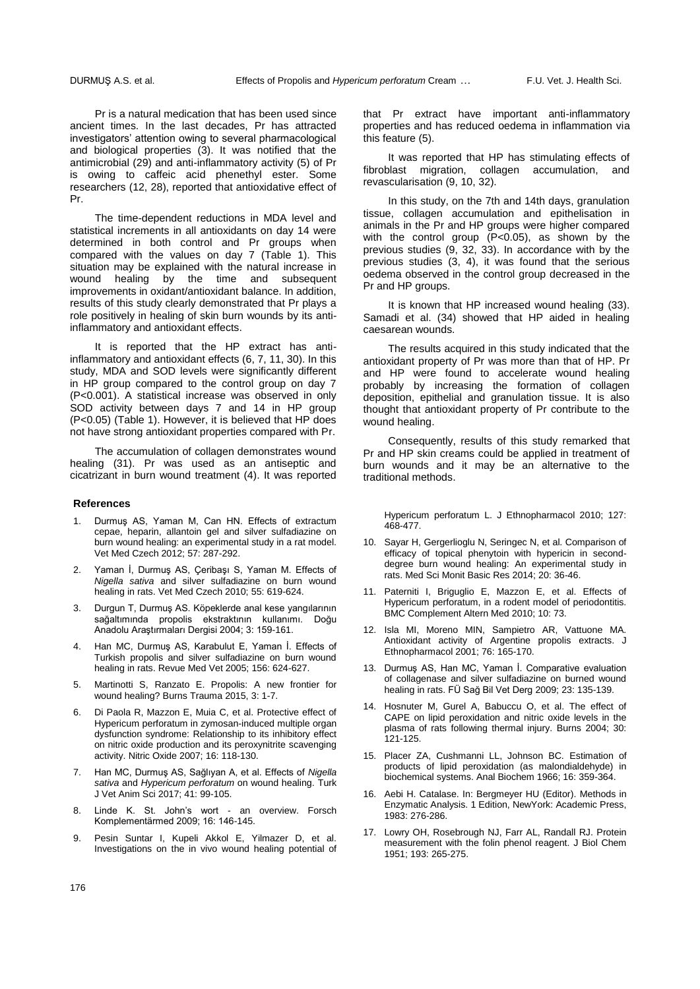Pr is a natural medication that has been used since ancient times. In the last decades, Pr has attracted investigators' attention owing to several pharmacological and biological properties (3). It was notified that the antimicrobial (29) and anti-inflammatory activity (5) of Pr is owing to caffeic acid phenethyl ester. Some researchers (12, 28), reported that antioxidative effect of Pr.

The time-dependent reductions in MDA level and statistical increments in all antioxidants on day 14 were determined in both control and Pr groups when compared with the values on day 7 (Table 1). This situation may be explained with the natural increase in wound healing by the time and subsequent improvements in oxidant/antioxidant balance. In addition, results of this study clearly demonstrated that Pr plays a role positively in healing of skin burn wounds by its antiinflammatory and antioxidant effects.

It is reported that the HP extract has antiinflammatory and antioxidant effects (6, 7, 11, 30). In this study, MDA and SOD levels were significantly different in HP group compared to the control group on day 7 (P<0.001). A statistical increase was observed in only SOD activity between days 7 and 14 in HP group (P<0.05) (Table 1). However, it is believed that HP does not have strong antioxidant properties compared with Pr.

The accumulation of collagen demonstrates wound healing (31). Pr was used as an antiseptic and cicatrizant in burn wound treatment (4). It was reported

#### **References**

- Durmuş AS, Yaman M, Can HN. Effects of extractum cepae, heparin, allantoin gel and silver sulfadiazine on burn wound healing: an experimental study in a rat model. Vet Med Czech 2012; 57: 287-292.
- Yaman İ, Durmuş AS, Çeribaşı S, Yaman M. Effects of *Nigella sativa* and silver sulfadiazine on burn wound healing in rats. Vet Med Czech 2010; 55: 619-624.
- 3. Durgun T, Durmuş AS. Köpeklerde anal kese yangılarının sağaltımında propolis ekstraktının kullanımı. Doğu Anadolu Araştırmaları Dergisi 2004; 3: 159-161.
- 4. Han MC, Durmuş AS, Karabulut E, Yaman İ. Effects of Turkish propolis and silver sulfadiazine on burn wound healing in rats. Revue Med Vet 2005; 156: 624-627.
- 5. Martinotti S, Ranzato E. Propolis: A new frontier for wound healing? Burns Trauma 2015, 3: 1-7.
- 6. Di Paola R, Mazzon E, Muia C, et al. Protective effect of Hypericum perforatum in zymosan-induced multiple organ dysfunction syndrome: Relationship to its inhibitory effect on nitric oxide production and its peroxynitrite scavenging activity. Nitric Oxide 2007; 16: 118-130.
- 7. Han MC, Durmuş AS, Sağlıyan A, et al. Effects of *Nigella sativa* and *Hypericum perforatum* on wound healing. Turk J Vet Anim Sci 2017; 41: 99-105.
- 8. Linde K. St. John's wort an overview. Forsch Komplementärmed 2009; 16: 146-145.
- 9. Pesin Suntar I, Kupeli Akkol E, Yilmazer D, et al. Investigations on the in vivo wound healing potential of

that Pr extract have important anti-inflammatory properties and has reduced oedema in inflammation via this feature (5).

It was reported that HP has stimulating effects of fibroblast migration, collagen accumulation, and revascularisation (9, 10, 32).

In this study, on the 7th and 14th days, granulation tissue, collagen accumulation and epithelisation in animals in the Pr and HP groups were higher compared with the control group (P<0.05), as shown by the previous studies (9, 32, 33). In accordance with by the previous studies (3, 4), it was found that the serious oedema observed in the control group decreased in the Pr and HP groups.

It is known that HP increased wound healing (33). Samadi et al. (34) showed that HP aided in healing caesarean wounds.

The results acquired in this study indicated that the antioxidant property of Pr was more than that of HP. Pr and HP were found to accelerate wound healing probably by increasing the formation of collagen deposition, epithelial and granulation tissue. It is also thought that antioxidant property of Pr contribute to the wound healing.

Consequently, results of this study remarked that Pr and HP skin creams could be applied in treatment of burn wounds and it may be an alternative to the traditional methods.

Hypericum perforatum L. J Ethnopharmacol 2010; 127: 468-477.

- 10. Sayar H, Gergerlioglu N, Seringec N, et al. Comparison of efficacy of topical phenytoin with hypericin in seconddegree burn wound healing: An experimental study in rats. Med Sci Monit Basic Res 2014; 20: 36-46.
- 11. Paterniti I, Briguglio E, Mazzon E, et al. Effects of Hypericum perforatum, in a rodent model of periodontitis. BMC Complement Altern Med 2010; 10: 73.
- 12. Isla MI, Moreno MIN, Sampietro AR, Vattuone MA. Antioxidant activity of Argentine propolis extracts. J Ethnopharmacol 2001; 76: 165-170.
- 13. Durmuş AS, Han MC, Yaman İ. Comparative evaluation of collagenase and silver sulfadiazine on burned wound healing in rats. FÜ Sağ Bil Vet Derg 2009; 23: 135-139.
- 14. Hosnuter M, Gurel A, Babuccu O, et al. The effect of CAPE on lipid peroxidation and nitric oxide levels in the plasma of rats following thermal injury. Burns 2004; 30: 121-125.
- 15. Placer ZA, Cushmanni LL, Johnson BC. Estimation of products of lipid peroxidation (as malondialdehyde) in biochemical systems. Anal Biochem 1966; 16: 359-364.
- 16. Aebi H. Catalase. In: Bergmeyer HU (Editor). Methods in Enzymatic Analysis. 1 Edition, NewYork: Academic Press, 1983: 276-286.
- 17. Lowry OH, Rosebrough NJ, Farr AL, Randall RJ. Protein measurement with the folin phenol reagent. J Biol Chem 1951; 193: 265-275.